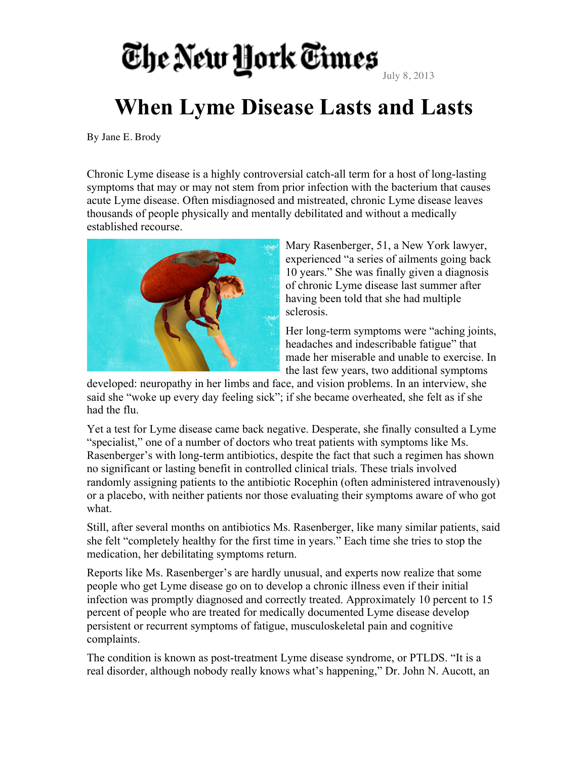## The New York Times

July 8, 2013

## **When Lyme Disease Lasts and Lasts**

By Jane E. Brody

Chronic Lyme disease is a highly controversial catch-all term for a host of long-lasting symptoms that may or may not stem from prior infection with the bacterium that causes acute Lyme disease. Often misdiagnosed and mistreated, chronic Lyme disease leaves thousands of people physically and mentally debilitated and without a medically established recourse.



Mary Rasenberger, 51, a New York lawyer, experienced "a series of ailments going back 10 years." She was finally given a diagnosis of chronic Lyme disease last summer after having been told that she had multiple sclerosis.

Her long-term symptoms were "aching joints, headaches and indescribable fatigue" that made her miserable and unable to exercise. In the last few years, two additional symptoms

developed: neuropathy in her limbs and face, and vision problems. In an interview, she said she "woke up every day feeling sick"; if she became overheated, she felt as if she had the flu.

Yet a test for Lyme disease came back negative. Desperate, she finally consulted a Lyme "specialist," one of a number of doctors who treat patients with symptoms like Ms. Rasenberger's with long-term antibiotics, despite the fact that such a regimen has shown no significant or lasting benefit in controlled clinical trials. These trials involved randomly assigning patients to the antibiotic Rocephin (often administered intravenously) or a placebo, with neither patients nor those evaluating their symptoms aware of who got what.

Still, after several months on antibiotics Ms. Rasenberger, like many similar patients, said she felt "completely healthy for the first time in years." Each time she tries to stop the medication, her debilitating symptoms return.

Reports like Ms. Rasenberger's are hardly unusual, and experts now realize that some people who get Lyme disease go on to develop a chronic illness even if their initial infection was promptly diagnosed and correctly treated. Approximately 10 percent to 15 percent of people who are treated for medically documented Lyme disease develop persistent or recurrent symptoms of fatigue, musculoskeletal pain and cognitive complaints.

The condition is known as post-treatment Lyme disease syndrome, or PTLDS. "It is a real disorder, although nobody really knows what's happening," Dr. John N. Aucott, an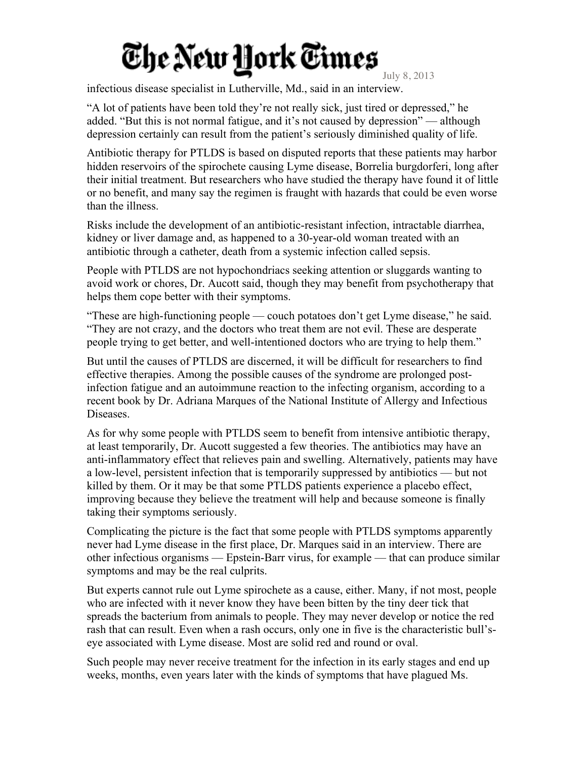## The New York Times

July 8, 2013

infectious disease specialist in Lutherville, Md., said in an interview.

"A lot of patients have been told they're not really sick, just tired or depressed," he added. "But this is not normal fatigue, and it's not caused by depression" — although depression certainly can result from the patient's seriously diminished quality of life.

Antibiotic therapy for PTLDS is based on disputed reports that these patients may harbor hidden reservoirs of the spirochete causing Lyme disease, Borrelia burgdorferi, long after their initial treatment. But researchers who have studied the therapy have found it of little or no benefit, and many say the regimen is fraught with hazards that could be even worse than the illness.

Risks include the development of an antibiotic-resistant infection, intractable diarrhea, kidney or liver damage and, as happened to a 30-year-old woman treated with an antibiotic through a catheter, death from a systemic infection called sepsis.

People with PTLDS are not hypochondriacs seeking attention or sluggards wanting to avoid work or chores, Dr. Aucott said, though they may benefit from psychotherapy that helps them cope better with their symptoms.

"These are high-functioning people — couch potatoes don't get Lyme disease," he said. "They are not crazy, and the doctors who treat them are not evil. These are desperate people trying to get better, and well-intentioned doctors who are trying to help them."

But until the causes of PTLDS are discerned, it will be difficult for researchers to find effective therapies. Among the possible causes of the syndrome are prolonged postinfection fatigue and an autoimmune reaction to the infecting organism, according to a recent book by Dr. Adriana Marques of the National Institute of Allergy and Infectious Diseases.

As for why some people with PTLDS seem to benefit from intensive antibiotic therapy, at least temporarily, Dr. Aucott suggested a few theories. The antibiotics may have an anti-inflammatory effect that relieves pain and swelling. Alternatively, patients may have a low-level, persistent infection that is temporarily suppressed by antibiotics — but not killed by them. Or it may be that some PTLDS patients experience a placebo effect, improving because they believe the treatment will help and because someone is finally taking their symptoms seriously.

Complicating the picture is the fact that some people with PTLDS symptoms apparently never had Lyme disease in the first place, Dr. Marques said in an interview. There are other infectious organisms — Epstein-Barr virus, for example — that can produce similar symptoms and may be the real culprits.

But experts cannot rule out Lyme spirochete as a cause, either. Many, if not most, people who are infected with it never know they have been bitten by the tiny deer tick that spreads the bacterium from animals to people. They may never develop or notice the red rash that can result. Even when a rash occurs, only one in five is the characteristic bull'seye associated with Lyme disease. Most are solid red and round or oval.

Such people may never receive treatment for the infection in its early stages and end up weeks, months, even years later with the kinds of symptoms that have plagued Ms.